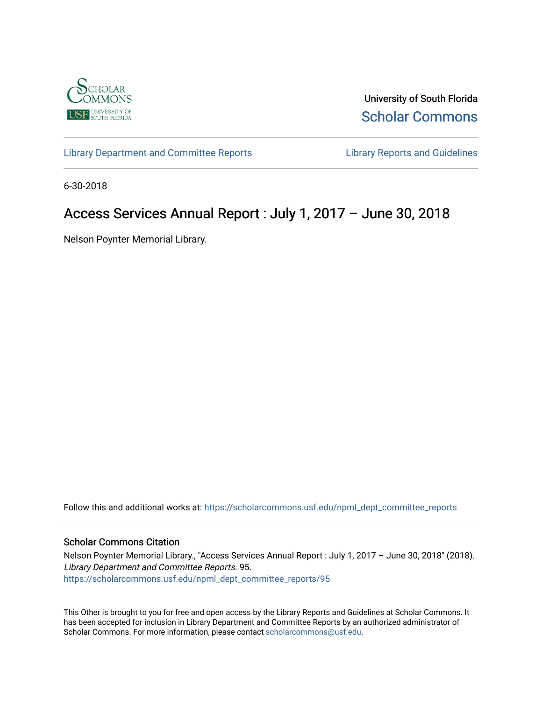

University of South Florida [Scholar Commons](https://scholarcommons.usf.edu/) 

[Library Department and Committee Reports](https://scholarcommons.usf.edu/npml_dept_committee_reports) **Library Reports and Guidelines** 

6-30-2018

# Access Services Annual Report : July 1, 2017 – June 30, 2018

Nelson Poynter Memorial Library.

Follow this and additional works at: [https://scholarcommons.usf.edu/npml\\_dept\\_committee\\_reports](https://scholarcommons.usf.edu/npml_dept_committee_reports?utm_source=scholarcommons.usf.edu%2Fnpml_dept_committee_reports%2F95&utm_medium=PDF&utm_campaign=PDFCoverPages)

#### Scholar Commons Citation

Nelson Poynter Memorial Library., "Access Services Annual Report : July 1, 2017 – June 30, 2018" (2018). Library Department and Committee Reports. 95. [https://scholarcommons.usf.edu/npml\\_dept\\_committee\\_reports/95](https://scholarcommons.usf.edu/npml_dept_committee_reports/95?utm_source=scholarcommons.usf.edu%2Fnpml_dept_committee_reports%2F95&utm_medium=PDF&utm_campaign=PDFCoverPages) 

This Other is brought to you for free and open access by the Library Reports and Guidelines at Scholar Commons. It has been accepted for inclusion in Library Department and Committee Reports by an authorized administrator of Scholar Commons. For more information, please contact [scholarcommons@usf.edu](mailto:scholarcommons@usf.edu).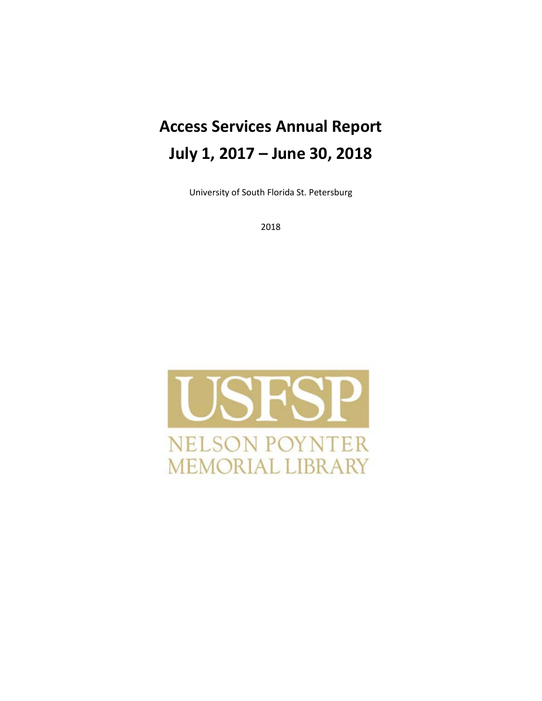# **Access Services Annual Report July 1, 2017 – June 30, 2018**

University of South Florida St. Petersburg

2018

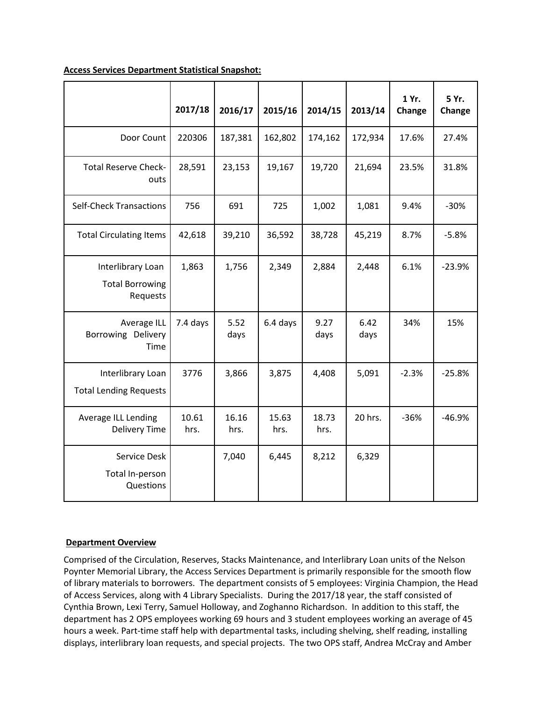|                                                         | 2017/18       | 2016/17       | 2015/16       | 2014/15       | 2013/14      | 1 Yr.<br>Change | 5 Yr.<br>Change |
|---------------------------------------------------------|---------------|---------------|---------------|---------------|--------------|-----------------|-----------------|
| Door Count                                              | 220306        | 187,381       | 162,802       | 174,162       | 172,934      | 17.6%           | 27.4%           |
| <b>Total Reserve Check-</b><br>outs                     | 28,591        | 23,153        | 19,167        | 19,720        | 21,694       | 23.5%           | 31.8%           |
| <b>Self-Check Transactions</b>                          | 756           | 691           | 725           | 1,002         | 1,081        | 9.4%            | $-30%$          |
| <b>Total Circulating Items</b>                          | 42,618        | 39,210        | 36,592        | 38,728        | 45,219       | 8.7%            | $-5.8%$         |
| Interlibrary Loan<br><b>Total Borrowing</b><br>Requests | 1,863         | 1,756         | 2,349         | 2,884         | 2,448        | 6.1%            | $-23.9%$        |
| Average ILL<br>Borrowing Delivery<br>Time               | 7.4 days      | 5.52<br>days  | 6.4 days      | 9.27<br>days  | 6.42<br>days | 34%             | 15%             |
| Interlibrary Loan<br><b>Total Lending Requests</b>      | 3776          | 3,866         | 3,875         | 4,408         | 5,091        | $-2.3%$         | $-25.8%$        |
| Average ILL Lending<br><b>Delivery Time</b>             | 10.61<br>hrs. | 16.16<br>hrs. | 15.63<br>hrs. | 18.73<br>hrs. | 20 hrs.      | $-36%$          | $-46.9%$        |
| Service Desk<br>Total In-person<br>Questions            |               | 7,040         | 6,445         | 8,212         | 6,329        |                 |                 |

### **Access Services Department Statistical Snapshot:**

# **Department Overview**

Comprised of the Circulation, Reserves, Stacks Maintenance, and Interlibrary Loan units of the Nelson Poynter Memorial Library, the Access Services Department is primarily responsible for the smooth flow of library materials to borrowers. The department consists of 5 employees: Virginia Champion, the Head of Access Services, along with 4 Library Specialists. During the 2017/18 year, the staff consisted of Cynthia Brown, Lexi Terry, Samuel Holloway, and Zoghanno Richardson. In addition to this staff, the department has 2 OPS employees working 69 hours and 3 student employees working an average of 45 hours a week. Part-time staff help with departmental tasks, including shelving, shelf reading, installing displays, interlibrary loan requests, and special projects. The two OPS staff, Andrea McCray and Amber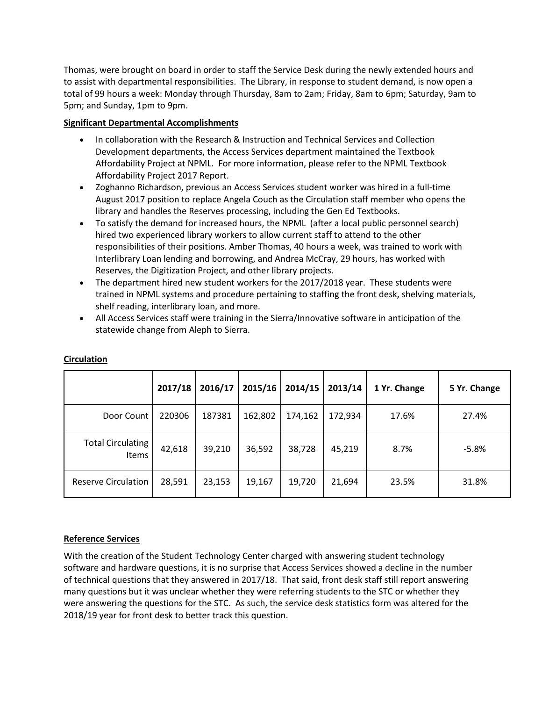Thomas, were brought on board in order to staff the Service Desk during the newly extended hours and to assist with departmental responsibilities. The Library, in response to student demand, is now open a total of 99 hours a week: Monday through Thursday, 8am to 2am; Friday, 8am to 6pm; Saturday, 9am to 5pm; and Sunday, 1pm to 9pm.

# **Significant Departmental Accomplishments**

- In collaboration with the Research & Instruction and Technical Services and Collection Development departments, the Access Services department maintained the Textbook Affordability Project at NPML. For more information, please refer to the NPML Textbook Affordability Project 2017 Report.
- Zoghanno Richardson, previous an Access Services student worker was hired in a full-time August 2017 position to replace Angela Couch as the Circulation staff member who opens the library and handles the Reserves processing, including the Gen Ed Textbooks.
- To satisfy the demand for increased hours, the NPML (after a local public personnel search) hired two experienced library workers to allow current staff to attend to the other responsibilities of their positions. Amber Thomas, 40 hours a week, was trained to work with Interlibrary Loan lending and borrowing, and Andrea McCray, 29 hours, has worked with Reserves, the Digitization Project, and other library projects.
- The department hired new student workers for the 2017/2018 year. These students were trained in NPML systems and procedure pertaining to staffing the front desk, shelving materials, shelf reading, interlibrary loan, and more.
- All Access Services staff were training in the Sierra/Innovative software in anticipation of the statewide change from Aleph to Sierra.

|                                          | 2017/18 | 2016/17 | 2015/16 | 2014/15 | 2013/14 | 1 Yr. Change | 5 Yr. Change |
|------------------------------------------|---------|---------|---------|---------|---------|--------------|--------------|
| Door Count                               | 220306  | 187381  | 162,802 | 174,162 | 172,934 | 17.6%        | 27.4%        |
| <b>Total Circulating</b><br><b>Items</b> | 42,618  | 39,210  | 36,592  | 38,728  | 45,219  | 8.7%         | $-5.8%$      |
| <b>Reserve Circulation</b>               | 28,591  | 23,153  | 19,167  | 19,720  | 21,694  | 23.5%        | 31.8%        |

# **Circulation**

# **Reference Services**

With the creation of the Student Technology Center charged with answering student technology software and hardware questions, it is no surprise that Access Services showed a decline in the number of technical questions that they answered in 2017/18. That said, front desk staff still report answering many questions but it was unclear whether they were referring students to the STC or whether they were answering the questions for the STC. As such, the service desk statistics form was altered for the 2018/19 year for front desk to better track this question.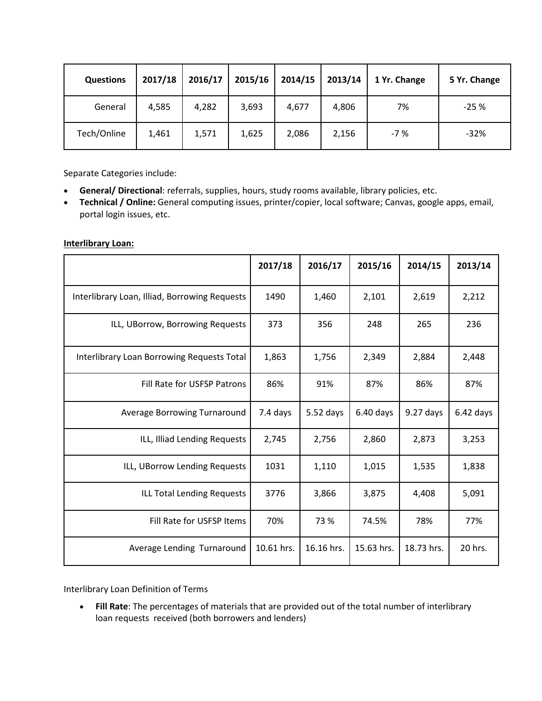| <b>Questions</b> | 2017/18 | 2016/17 | 2015/16 | 2014/15 | 2013/14 | 1 Yr. Change | 5 Yr. Change |
|------------------|---------|---------|---------|---------|---------|--------------|--------------|
| General          | 4,585   | 4,282   | 3,693   | 4,677   | 4,806   | 7%           | $-25%$       |
| Tech/Online      | 1,461   | 1,571   | 1,625   | 2,086   | 2,156   | $-7%$        | $-32%$       |

Separate Categories include:

- **General/ Directional**: referrals, supplies, hours, study rooms available, library policies, etc.
- **Technical / Online:** General computing issues, printer/copier, local software; Canvas, google apps, email, portal login issues, etc.

|                                               | 2017/18    | 2016/17    | 2015/16     | 2014/15    | 2013/14     |
|-----------------------------------------------|------------|------------|-------------|------------|-------------|
| Interlibrary Loan, Illiad, Borrowing Requests | 1490       | 1,460      | 2,101       | 2,619      | 2,212       |
| ILL, UBorrow, Borrowing Requests              | 373        | 356        | 248         | 265        | 236         |
| Interlibrary Loan Borrowing Requests Total    | 1,863      | 1,756      | 2,349       | 2,884      | 2,448       |
| Fill Rate for USFSP Patrons                   | 86%        | 91%        | 87%         | 86%        | 87%         |
| Average Borrowing Turnaround                  | 7.4 days   | 5.52 days  | $6.40$ days | 9.27 days  | $6.42$ days |
| ILL, Illiad Lending Requests                  | 2,745      | 2,756      | 2,860       | 2,873      | 3,253       |
| ILL, UBorrow Lending Requests                 | 1031       | 1,110      | 1,015       | 1,535      | 1,838       |
| ILL Total Lending Requests                    | 3776       | 3,866      | 3,875       | 4,408      | 5,091       |
| Fill Rate for USFSP Items                     | 70%        | 73 %       | 74.5%       | 78%        | 77%         |
| Average Lending Turnaround                    | 10.61 hrs. | 16.16 hrs. | 15.63 hrs.  | 18.73 hrs. | 20 hrs.     |

#### **Interlibrary Loan:**

Interlibrary Loan Definition of Terms

• **Fill Rate**: The percentages of materials that are provided out of the total number of interlibrary loan requests received (both borrowers and lenders)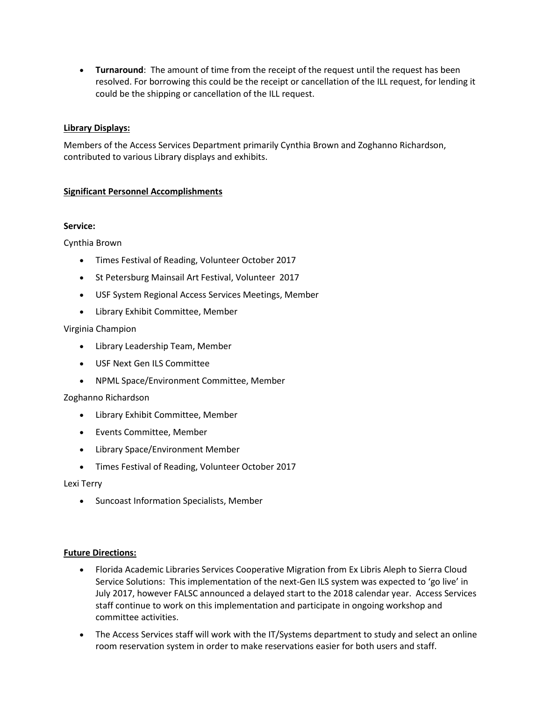• **Turnaround**: The amount of time from the receipt of the request until the request has been resolved. For borrowing this could be the receipt or cancellation of the ILL request, for lending it could be the shipping or cancellation of the ILL request.

#### **Library Displays:**

Members of the Access Services Department primarily Cynthia Brown and Zoghanno Richardson, contributed to various Library displays and exhibits.

### **Significant Personnel Accomplishments**

#### **Service:**

Cynthia Brown

- Times Festival of Reading, Volunteer October 2017
- St Petersburg Mainsail Art Festival, Volunteer 2017
- USF System Regional Access Services Meetings, Member
- Library Exhibit Committee, Member

#### Virginia Champion

- Library Leadership Team, Member
- USF Next Gen ILS Committee
- NPML Space/Environment Committee, Member

#### Zoghanno Richardson

- Library Exhibit Committee, Member
- Events Committee, Member
- Library Space/Environment Member
- Times Festival of Reading, Volunteer October 2017

#### Lexi Terry

• Suncoast Information Specialists, Member

#### **Future Directions:**

- Florida Academic Libraries Services Cooperative Migration from Ex Libris Aleph to Sierra Cloud Service Solutions: This implementation of the next-Gen ILS system was expected to 'go live' in July 2017, however FALSC announced a delayed start to the 2018 calendar year. Access Services staff continue to work on this implementation and participate in ongoing workshop and committee activities.
- The Access Services staff will work with the IT/Systems department to study and select an online room reservation system in order to make reservations easier for both users and staff.